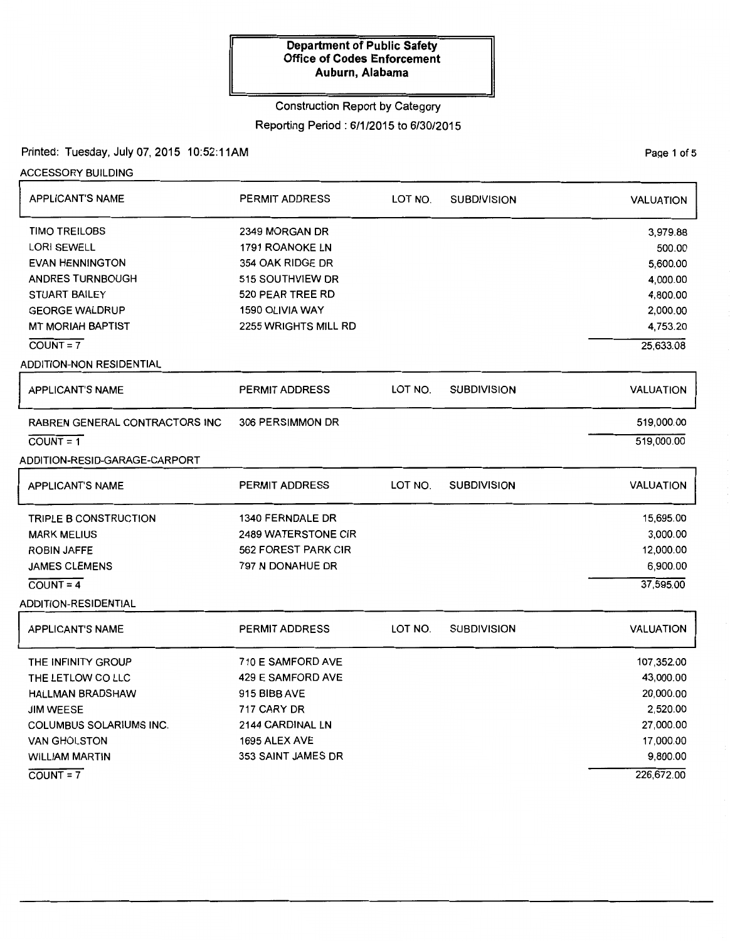### Construction Report by Category

# Reporting Period : 6/1/2015 to 6/30/2015

### Printed: Tuesday, July 07, 2015 10:52:11AM

ACCESSORY BUILDING

| <b>APPLICANT'S NAME</b>               | <b>PERMIT ADDRESS</b>       | LOT NO. | <b>SUBDIVISION</b> | <b>VALUATION</b> |
|---------------------------------------|-----------------------------|---------|--------------------|------------------|
| <b>TIMO TREILOBS</b>                  | 2349 MORGAN DR              |         |                    | 3,979.88         |
| <b>LORI SEWELL</b>                    | 1791 ROANOKE LN             |         |                    | 500.00           |
| <b>EVAN HENNINGTON</b>                | 354 OAK RIDGE DR            |         |                    | 5,600.00         |
| <b>ANDRES TURNBOUGH</b>               | 515 SOUTHVIEW DR            |         |                    | 4,000.00         |
| <b>STUART BAILEY</b>                  | 520 PEAR TREE RD            |         |                    | 4,800.00         |
| <b>GEORGE WALDRUP</b>                 | 1590 OLIVIA WAY             |         |                    | 2,000.00         |
| <b>MT MORIAH BAPTIST</b>              | <b>2255 WRIGHTS MILL RD</b> |         |                    | 4,753.20         |
| $COUNT = 7$                           |                             |         |                    | 25,633.08        |
| ADDITION-NON RESIDENTIAL              |                             |         |                    |                  |
| <b>APPLICANT'S NAME</b>               | <b>PERMIT ADDRESS</b>       | LOT NO. | <b>SUBDIVISION</b> | <b>VALUATION</b> |
| <b>RABREN GENERAL CONTRACTORS INC</b> | 306 PERSIMMON DR            |         |                    | 519,000.00       |
| $\overline{COUNT} = 1$                |                             |         |                    | 519,000.00       |
| ADDITION-RESID-GARAGE-CARPORT         |                             |         |                    |                  |
|                                       |                             |         |                    |                  |
| <b>APPLICANT'S NAME</b>               | <b>PERMIT ADDRESS</b>       | LOT NO. | <b>SUBDIVISION</b> | <b>VALUATION</b> |
| <b>TRIPLE B CONSTRUCTION</b>          | 1340 FERNDALE DR            |         |                    | 15,695.00        |
| <b>MARK MELIUS</b>                    | <b>2489 WATERSTONE CIR</b>  |         |                    | 3,000.00         |
| <b>ROBIN JAFFE</b>                    | 562 FOREST PARK CIR         |         |                    | 12,000.00        |
| JAMES CLEMENS                         | 797 N DONAHUE DR            |         |                    | 6,900.00         |
| $COUNT = 4$                           |                             |         |                    | 37,595.00        |
| <b>ADDITION-RESIDENTIAL</b>           |                             |         |                    |                  |
| <b>APPLICANT'S NAME</b>               | <b>PERMIT ADDRESS</b>       | LOT NO. | <b>SUBDIVISION</b> | <b>VALUATION</b> |
| THE INFINITY GROUP                    | 710 E SAMFORD AVE           |         |                    | 107,352.00       |
| THE LETLOW CO LLC                     | 429 E SAMFORD AVE           |         |                    | 43,000.00        |
| <b>HALLMAN BRADSHAW</b>               | 915 BIBB AVE                |         |                    | 20,000.00        |
| <b>JIM WEESE</b>                      | 717 CARY DR                 |         |                    | 2,520.00         |
| <b>COLUMBUS SOLARIUMS INC.</b>        | 2144 CARDINAL LN            |         |                    | 27,000.00        |
| <b>VAN GHOLSTON</b>                   | 1695 ALEX AVE               |         |                    | 17,000.00        |
| <b>WILLIAM MARTIN</b>                 | 353 SAINT JAMES DR          |         |                    | 9,800.00         |
| $\overline{COUNT} = 7$                |                             |         |                    | 226,672.00       |

PaQe 1 of 5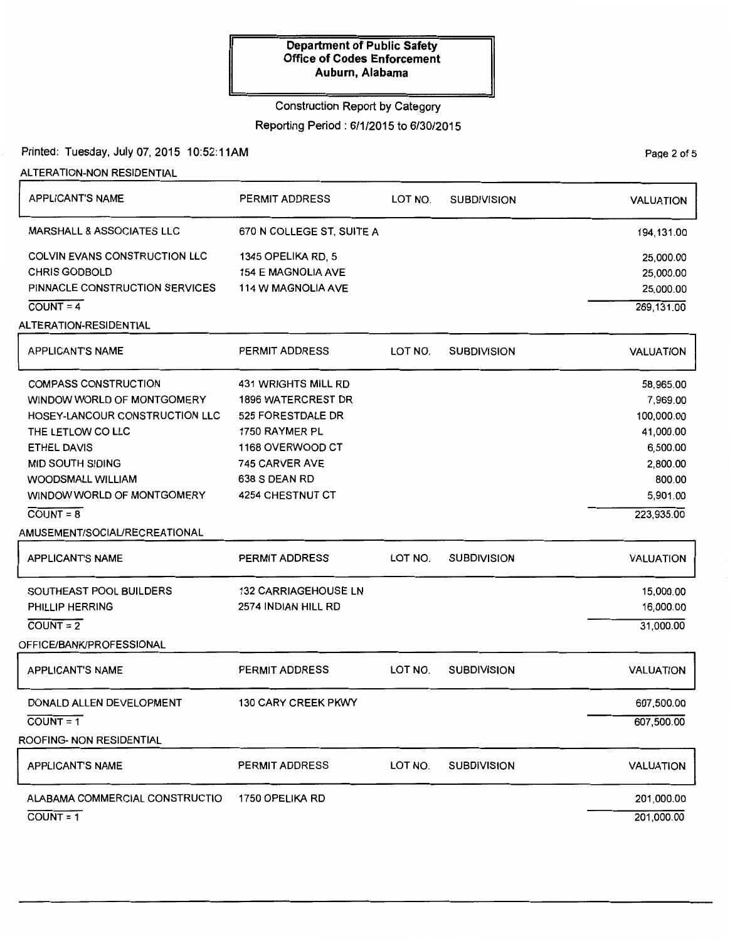### Construction Report by Category

### Reporting Period : 6/1/2015 to 6/30/2015

### Printed: Tuesday, July 07, 2015 10:52:11AM

ALTERATION-NON RESIDENTIAL

| <b>APPLICANT'S NAME</b>              | PERMIT ADDRESS              | LOT NO. | <b>SUBDIVISION</b> | <b>VALUATION</b> |
|--------------------------------------|-----------------------------|---------|--------------------|------------------|
| MARSHALL & ASSOCIATES LLC            | 670 N COLLEGE ST, SUITE A   |         |                    | 194,131.00       |
| <b>COLVIN EVANS CONSTRUCTION LLC</b> | 1345 OPELIKA RD, 5          |         |                    | 25,000.00        |
| <b>CHRIS GODBOLD</b>                 | <b>154 E MAGNOLIA AVE</b>   |         |                    | 25,000.00        |
| PINNACLE CONSTRUCTION SERVICES       | <b>114 W MAGNOLIA AVE</b>   |         |                    | 25,000.00        |
| $COUNT = 4$                          |                             |         |                    | 269,131.00       |
| ALTERATION-RESIDENTIAL               |                             |         |                    |                  |
| <b>APPLICANT'S NAME</b>              | <b>PERMIT ADDRESS</b>       | LOT NO. | <b>SUBDIVISION</b> | <b>VALUATION</b> |
| <b>COMPASS CONSTRUCTION</b>          | <b>431 WRIGHTS MILL RD</b>  |         |                    | 58,965.00        |
| WINDOW WORLD OF MONTGOMERY           | <b>1896 WATERCREST DR</b>   |         |                    | 7,969.00         |
| HOSEY-LANCOUR CONSTRUCTION LLC       | 525 FORESTDALE DR           |         |                    | 100,000.00       |
| THE LETLOW CO LLC                    | 1750 RAYMER PL              |         |                    | 41,000.00        |
| <b>ETHEL DAVIS</b>                   | 1168 OVERWOOD CT            |         |                    | 6,500.00         |
| <b>MID SOUTH SIDING</b>              | 745 CARVER AVE              |         |                    | 2,800.00         |
| <b>WOODSMALL WILLIAM</b>             | 638 S DEAN RD               |         |                    | 800.00           |
| WINDOW WORLD OF MONTGOMERY           | <b>4254 CHESTNUT CT</b>     |         |                    | 5,901.00         |
| $COUNT = 8$                          |                             |         |                    | 223,935.00       |
| AMUSEMENT/SOCIAL/RECREATIONAL        |                             |         |                    |                  |
| <b>APPLICANT'S NAME</b>              | PERMIT ADDRESS              | LOT NO. | <b>SUBDIVISION</b> | <b>VALUATION</b> |
| SOUTHEAST POOL BUILDERS              | <b>132 CARRIAGEHOUSE LN</b> |         |                    | 15,000.00        |
| PHILLIP HERRING                      | 2574 INDIAN HILL RD         |         |                    | 16,000.00        |
| $COUNT = 2$                          |                             |         |                    | 31,000.00        |
| OFFICE/BANK/PROFESSIONAL             |                             |         |                    |                  |
| <b>APPLICANT'S NAME</b>              | PERMIT ADDRESS              | LOT NO. | <b>SUBDIVISION</b> | <b>VALUATION</b> |
| DONALD ALLEN DEVELOPMENT             | <b>130 CARY CREEK PKWY</b>  |         |                    | 607,500.00       |
| $COUNT = 1$                          |                             |         |                    | 607,500.00       |
| ROOFING- NON RESIDENTIAL             |                             |         |                    |                  |
| <b>APPLICANT'S NAME</b>              | PERMIT ADDRESS              | LOT NO. | <b>SUBDIVISION</b> | <b>VALUATION</b> |
| ALABAMA COMMERCIAL CONSTRUCTIO       | 1750 OPELIKA RD             |         |                    | 201,000.00       |
| $COVNT = 1$                          |                             |         |                    | 201,000.00       |

Page 2 of 5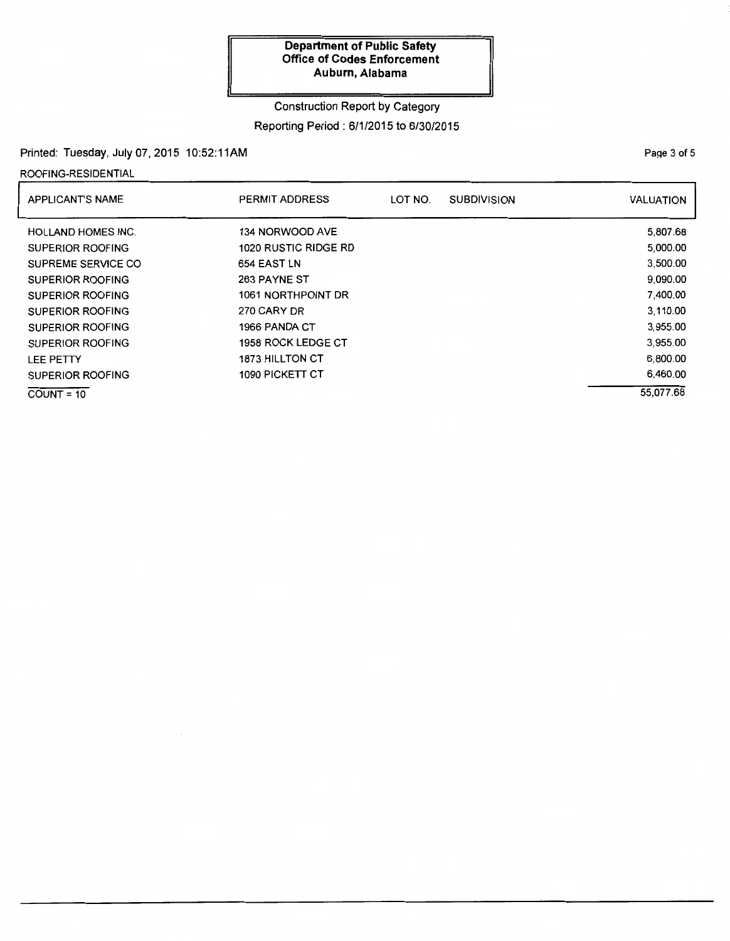# Construction Report by Category

# Reporting Period : 6/1/2015 to 6/30/2015

# Printed: Tuesday, July 07, 2015 10:52: 11AM

### ROOFING-RESIDENTIAL

| <b>APPLICANT'S NAME</b>   | <b>PERMIT ADDRESS</b> | LOT NO. | <b>SUBDIVISION</b> | <b>VALUATION</b> |
|---------------------------|-----------------------|---------|--------------------|------------------|
| <b>HOLLAND HOMES INC.</b> | 134 NORWOOD AVE       |         |                    | 5,807.68         |
| SUPERIOR ROOFING          | 1020 RUSTIC RIDGE RD  |         |                    | 5,000.00         |
| SUPREME SERVICE CO        | 654 EAST LN           |         |                    | 3,500.00         |
| SUPERIOR ROOFING          | 263 PAYNE ST          |         |                    | 9,090.00         |
| SUPERIOR ROOFING          | 1061 NORTHPOINT DR    |         |                    | 7,400.00         |
| SUPERIOR ROOFING          | 270 CARY DR           |         |                    | 3,110.00         |
| <b>SUPERIOR ROOFING</b>   | 1966 PANDA CT         |         |                    | 3,955.00         |
| SUPERIOR ROOFING          | 1958 ROCK LEDGE CT    |         |                    | 3,955.00         |
| LEE PETTY                 | 1873 HILLTON CT       |         |                    | 6,800.00         |
| SUPERIOR ROOFING          | 1090 PICKETT CT       |         |                    | 6,460.00         |
| $COUNT = 10$              |                       |         |                    | 55.077.68        |

PaQe 3 of 5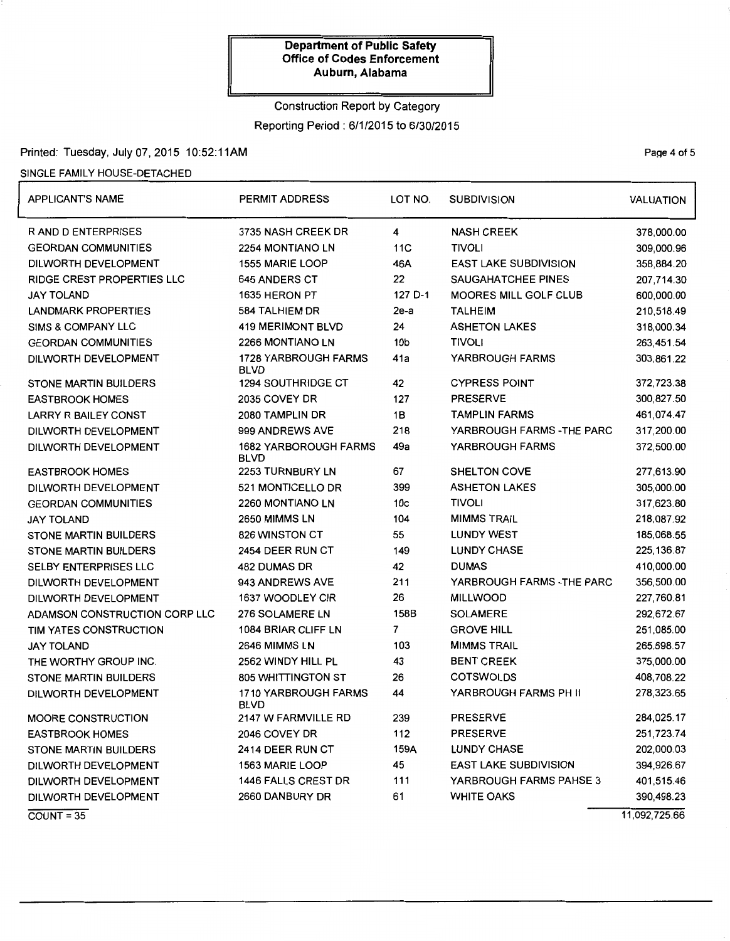# Construction Report by Category Reporting Period: 6/1/2015 to 6/30/2015

### Printed: Tuesday, July 07, 2015 10:52:11AM

### SINGLE FAMILY HOUSE-DETACHED

| <b>APPLICANT'S NAME</b>           | PERMIT ADDRESS                              | LOT NO.         | <b>SUBDIVISION</b>           |               |
|-----------------------------------|---------------------------------------------|-----------------|------------------------------|---------------|
| R AND D ENTERPRISES               | 3735 NASH CREEK DR                          | 4               | <b>NASH CREEK</b>            | 378,000.00    |
| <b>GEORDAN COMMUNITIES</b>        | 2254 MONTIANO LN                            | 11C             | <b>TIVOLI</b>                | 309,000.96    |
| DILWORTH DEVELOPMENT              | 1555 MARIE LOOP                             | 46A             | <b>EAST LAKE SUBDIVISION</b> | 358,884.20    |
| <b>RIDGE CREST PROPERTIES LLC</b> | <b>645 ANDERS CT</b>                        | 22              | <b>SAUGAHATCHEE PINES</b>    | 207,714.30    |
| <b>JAY TOLAND</b>                 | 1635 HERON PT                               | 127 D-1         | <b>MOORES MILL GOLF CLUB</b> | 600,000.00    |
| <b>LANDMARK PROPERTIES</b>        | 584 TALHIEM DR                              | 2e-a            | <b>TALHEIM</b>               | 210,518.49    |
| SIMS & COMPANY LLC                | <b>419 MERIMONT BLVD</b>                    | 24              | <b>ASHETON LAKES</b>         | 318,000.34    |
| <b>GEORDAN COMMUNITIES</b>        | 2266 MONTIANO LN                            | 10b             | <b>TIVOLI</b>                | 263,451.54    |
| DILWORTH DEVELOPMENT              | <b>1728 YARBROUGH FARMS</b><br><b>BLVD</b>  | 41a             | YARBROUGH FARMS              | 303,861.22    |
| <b>STONE MARTIN BUILDERS</b>      | <b>1294 SOUTHRIDGE CT</b>                   | 42              | <b>CYPRESS POINT</b>         | 372,723.38    |
| <b>EASTBROOK HOMES</b>            | 2035 COVEY DR                               | 127             | <b>PRESERVE</b>              | 300,827.50    |
| <b>LARRY R BAILEY CONST</b>       | 2080 TAMPLIN DR                             | 1B              | <b>TAMPLIN FARMS</b>         | 461,074.47    |
| DILWORTH DEVELOPMENT              | 999 ANDREWS AVE                             | 218             | YARBROUGH FARMS - THE PARC   | 317,200.00    |
| DILWORTH DEVELOPMENT              | <b>1682 YARBOROUGH FARMS</b><br><b>BLVD</b> | 49a             | YARBROUGH FARMS              | 372,500.00    |
| <b>EASTBROOK HOMES</b>            | 2253 TURNBURY LN                            | 67              | SHELTON COVE                 | 277,613.90    |
| DILWORTH DEVELOPMENT              | 521 MONTICELLO DR                           | 399             | <b>ASHETON LAKES</b>         | 305,000.00    |
| <b>GEORDAN COMMUNITIES</b>        | 2260 MONTIANO LN                            | 10 <sub>c</sub> | <b>TIVOLI</b>                | 317,623.80    |
| <b>JAY TOLAND</b>                 | 2650 MIMMS LN                               | 104             | <b>MIMMS TRAIL</b>           | 218,087.92    |
| <b>STONE MARTIN BUILDERS</b>      | <b>826 WINSTON CT</b>                       | 55              | <b>LUNDY WEST</b>            | 185,068.55    |
| <b>STONE MARTIN BUILDERS</b>      | 2454 DEER RUN CT                            | 149             | <b>LUNDY CHASE</b>           | 225, 136.87   |
| <b>SELBY ENTERPRISES LLC</b>      | 482 DUMAS DR                                | 42              | <b>DUMAS</b>                 | 410,000.00    |
| DILWORTH DEVELOPMENT              | 943 ANDREWS AVE                             | 211             | YARBROUGH FARMS - THE PARC   | 356,500.00    |
| DILWORTH DEVELOPMENT              | 1637 WOODLEY CIR                            | 26              | <b>MILLWOOD</b>              | 227,760.81    |
| ADAMSON CONSTRUCTION CORP LLC     | 276 SOLAMERE LN                             | 158B            | <b>SOLAMERE</b>              | 292,672.67    |
| TIM YATES CONSTRUCTION            | 1084 BRIAR CLIFF LN                         | 7               | <b>GROVE HILL</b>            | 251,085.00    |
| <b>JAY TOLAND</b>                 | 2646 MIMMS LN                               | 103             | <b>MIMMS TRAIL</b>           | 265,698.57    |
| THE WORTHY GROUP INC.             | 2562 WINDY HILL PL                          | 43              | <b>BENT CREEK</b>            | 375,000.00    |
| STONE MARTIN BUILDERS             | <b>805 WHITTINGTON ST</b>                   | 26              | <b>COTSWOLDS</b>             | 408,708.22    |
| DILWORTH DEVELOPMENT              | 1710 YARBROUGH FARMS<br><b>BLVD</b>         | 44              | YARBROUGH FARMS PH II        | 278,323.65    |
| <b>MOORE CONSTRUCTION</b>         | 2147 W FARMVILLE RD                         | 239             | PRESERVE                     | 284,025.17    |
| <b>EASTBROOK HOMES</b>            | 2046 COVEY DR                               | 112             | <b>PRESERVE</b>              | 251,723.74    |
| <b>STONE MARTIN BUILDERS</b>      | 2414 DEER RUN CT                            | 159A            | <b>LUNDY CHASE</b>           | 202,000.03    |
| DILWORTH DEVELOPMENT              | 1563 MARIE LOOP                             | 45              | <b>EAST LAKE SUBDIVISION</b> | 394,926.67    |
| DILWORTH DEVELOPMENT              | 1446 FALLS CREST DR                         | 111             | YARBROUGH FARMS PAHSE 3      | 401,515.46    |
| DILWORTH DEVELOPMENT              | 2660 DANBURY DR                             | 61              | <b>WHITE OAKS</b>            | 390,498.23    |
| $COUNT = 35$                      |                                             |                 |                              | 11,092,725.66 |

PaQe 4 of 5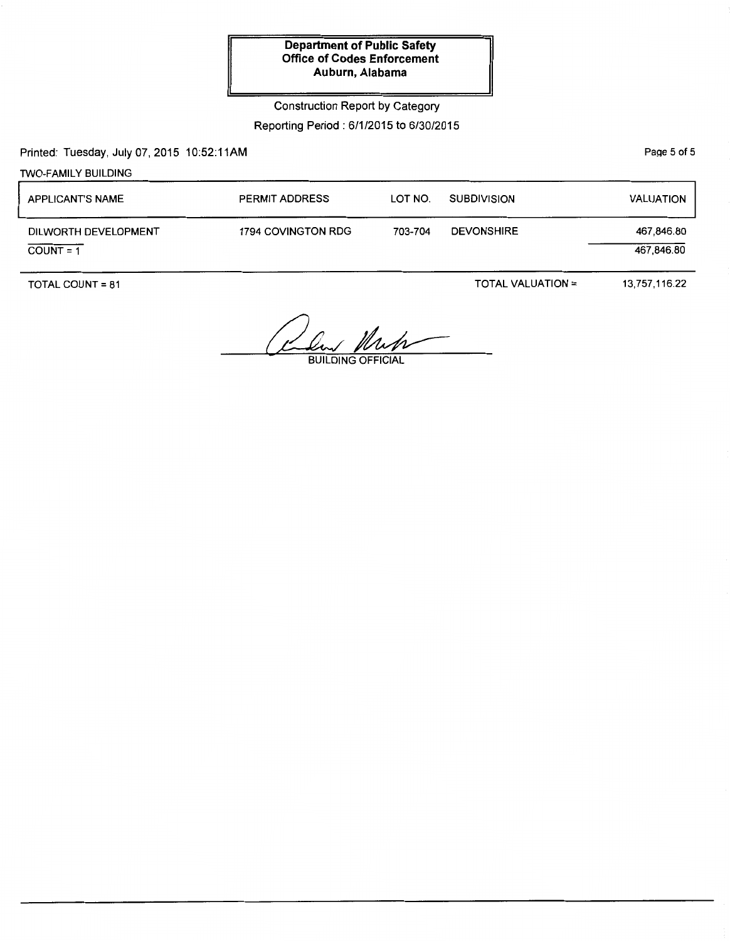Construction Report by Category

Reporting Period : 6/1/2015 to 6/30/2015

Printed: Tuesday, July 07, 2015 10:52:11AM

PaQe 5 of 5

| <b>TWO-FAMILY BUILDING</b>          |                       |         |                    |                          |
|-------------------------------------|-----------------------|---------|--------------------|--------------------------|
| <b>APPLICANT'S NAME</b>             | <b>PERMIT ADDRESS</b> | LOT NO. | <b>SUBDIVISION</b> | <b>VALUATION</b>         |
| DILWORTH DEVELOPMENT<br>$COUNT = 1$ | 1794 COVINGTON RDG    | 703-704 | <b>DEVONSHIRE</b>  | 467,846.80<br>467,846.80 |

TOTAL COUNT= 81

TOTAL VALUATION=

13,757,116.22

1 Klub BUILDING OFFICIAL